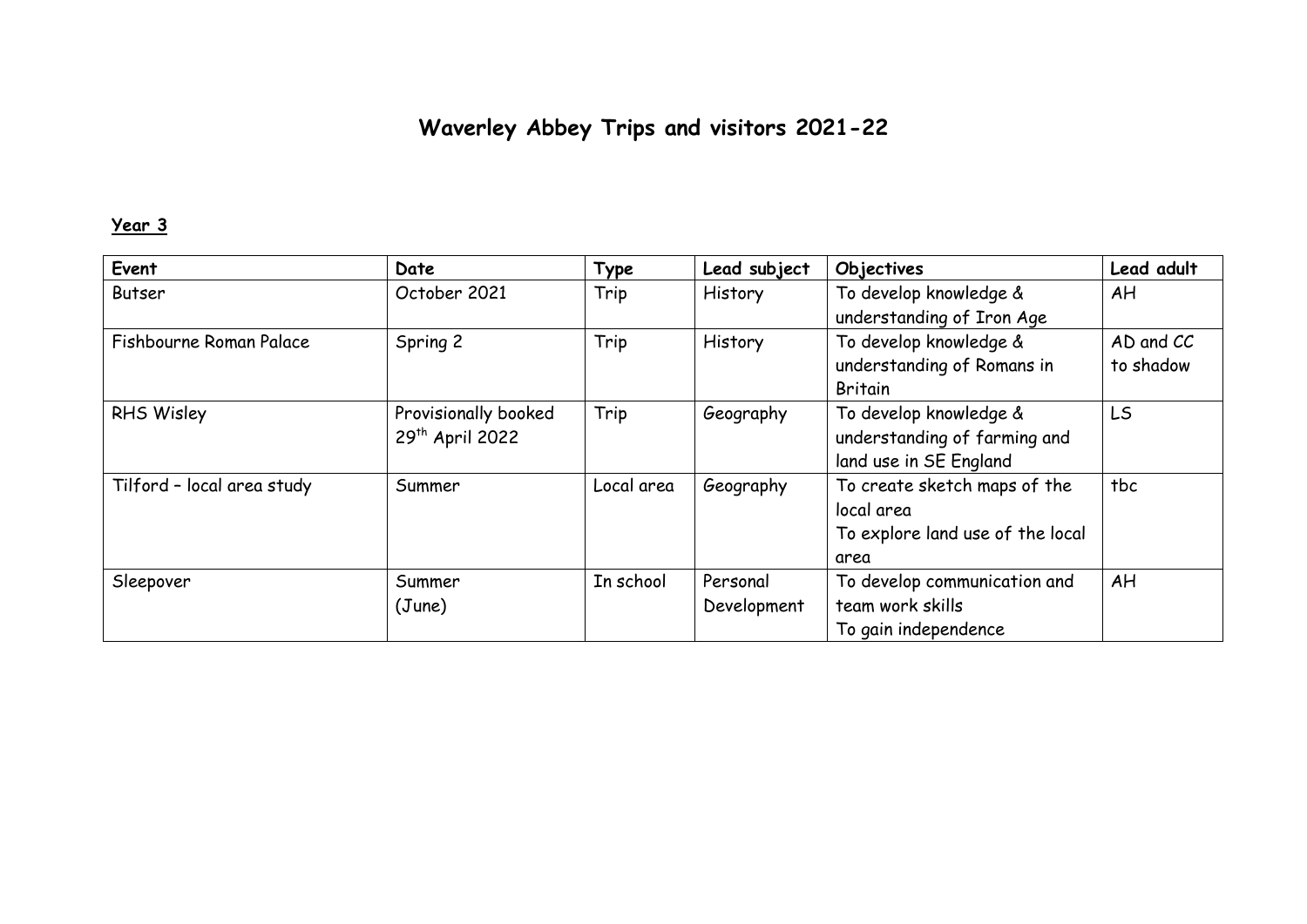# **Waverley Abbey Trips and visitors 2021-22**

# **Year 3**

| Event                      | Date                        | Type       | Lead subject | Objectives                       | Lead adult |
|----------------------------|-----------------------------|------------|--------------|----------------------------------|------------|
| Butser                     | October 2021                | Trip       | History      | To develop knowledge &           | AH         |
|                            |                             |            |              | understanding of Iron Age        |            |
| Fishbourne Roman Palace    | Spring 2                    | Trip       | History      | To develop knowledge &           | AD and CC  |
|                            |                             |            |              | understanding of Romans in       | to shadow  |
|                            |                             |            |              | <b>Britain</b>                   |            |
| RHS Wisley                 | Provisionally booked        | Trip       | Geography    | To develop knowledge &           | <b>LS</b>  |
|                            | 29 <sup>th</sup> April 2022 |            |              | understanding of farming and     |            |
|                            |                             |            |              | land use in SE England           |            |
| Tilford - local area study | Summer                      | Local area | Geography    | To create sketch maps of the     | tbc        |
|                            |                             |            |              | local area                       |            |
|                            |                             |            |              | To explore land use of the local |            |
|                            |                             |            |              | area                             |            |
| Sleepover                  | Summer                      | In school  | Personal     | To develop communication and     | AH         |
|                            | (June)                      |            | Development  | team work skills                 |            |
|                            |                             |            |              | To gain independence             |            |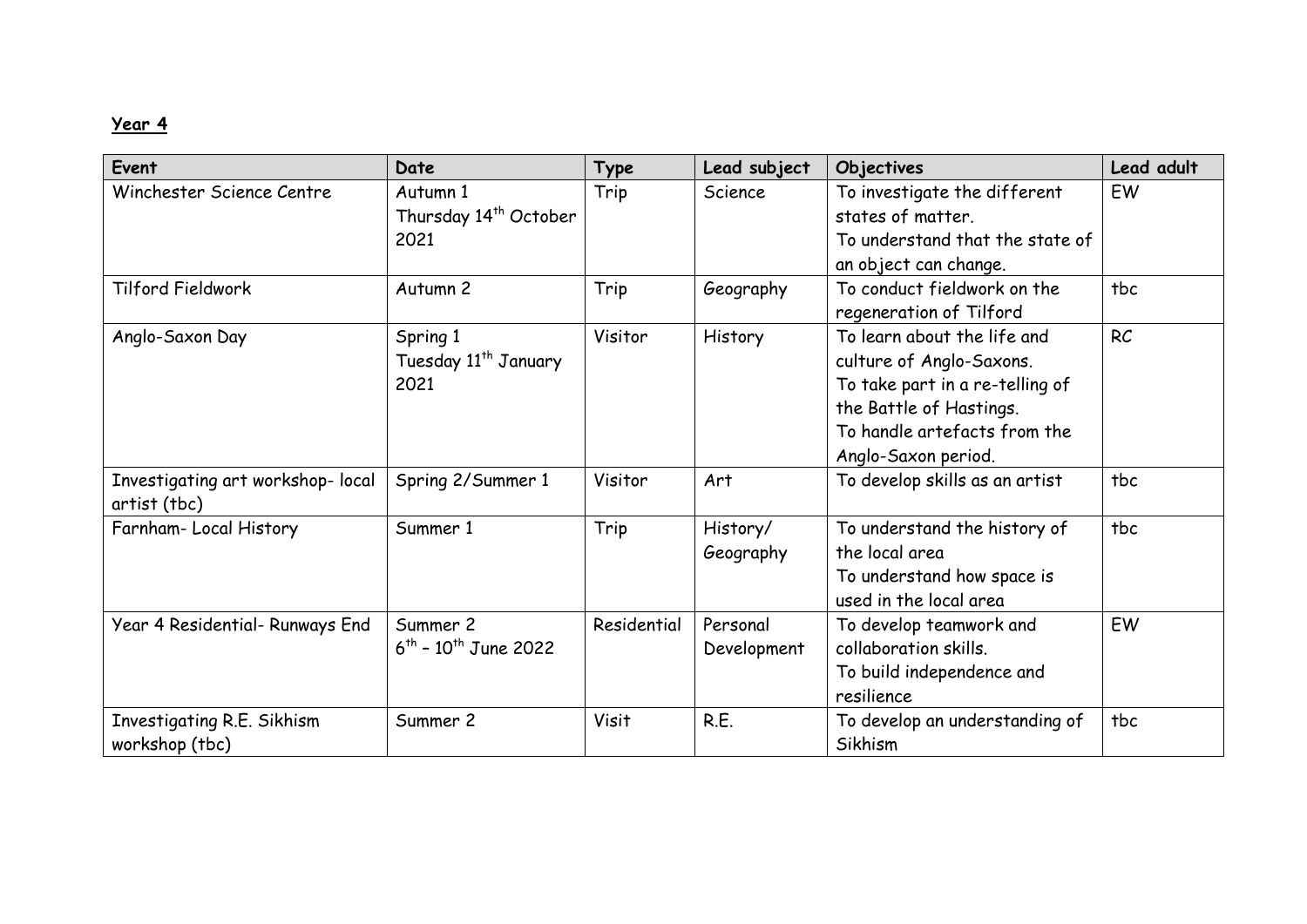# **Year 4**

| Event                                             | Date                                                  | Type         | Lead subject            | Objectives                                                                                                                                                                   | Lead adult |
|---------------------------------------------------|-------------------------------------------------------|--------------|-------------------------|------------------------------------------------------------------------------------------------------------------------------------------------------------------------------|------------|
| Winchester Science Centre                         | Autumn 1<br>Thursday 14 <sup>th</sup> October<br>2021 | Trip         | Science                 | To investigate the different<br>states of matter.<br>To understand that the state of<br>an object can change.                                                                | EW         |
| Tilford Fieldwork                                 | Autumn 2                                              | Trip         | Geography               | To conduct fieldwork on the<br>regeneration of Tilford                                                                                                                       | tbc        |
| Anglo-Saxon Day                                   | Spring 1<br>Tuesday 11 <sup>th</sup> January<br>2021  | Visitor      | History                 | To learn about the life and<br>culture of Anglo-Saxons.<br>To take part in a re-telling of<br>the Battle of Hastings.<br>To handle artefacts from the<br>Anglo-Saxon period. | RC         |
| Investigating art workshop- local<br>artist (tbc) | Spring 2/Summer 1                                     | Visitor      | Art                     | To develop skills as an artist                                                                                                                                               | tbc        |
| Farnham-Local History                             | Summer 1                                              | Trip         | History/<br>Geography   | To understand the history of<br>the local area<br>To understand how space is<br>used in the local area                                                                       | tbc        |
| Year 4 Residential- Runways End                   | Summer 2<br>$6^{th}$ - 10 <sup>th</sup> June 2022     | Residential  | Personal<br>Development | To develop teamwork and<br>collaboration skills.<br>To build independence and<br>resilience                                                                                  | EW         |
| Investigating R.E. Sikhism<br>workshop (tbc)      | Summer 2                                              | <b>Visit</b> | R.E.                    | To develop an understanding of<br>Sikhism                                                                                                                                    | tbc        |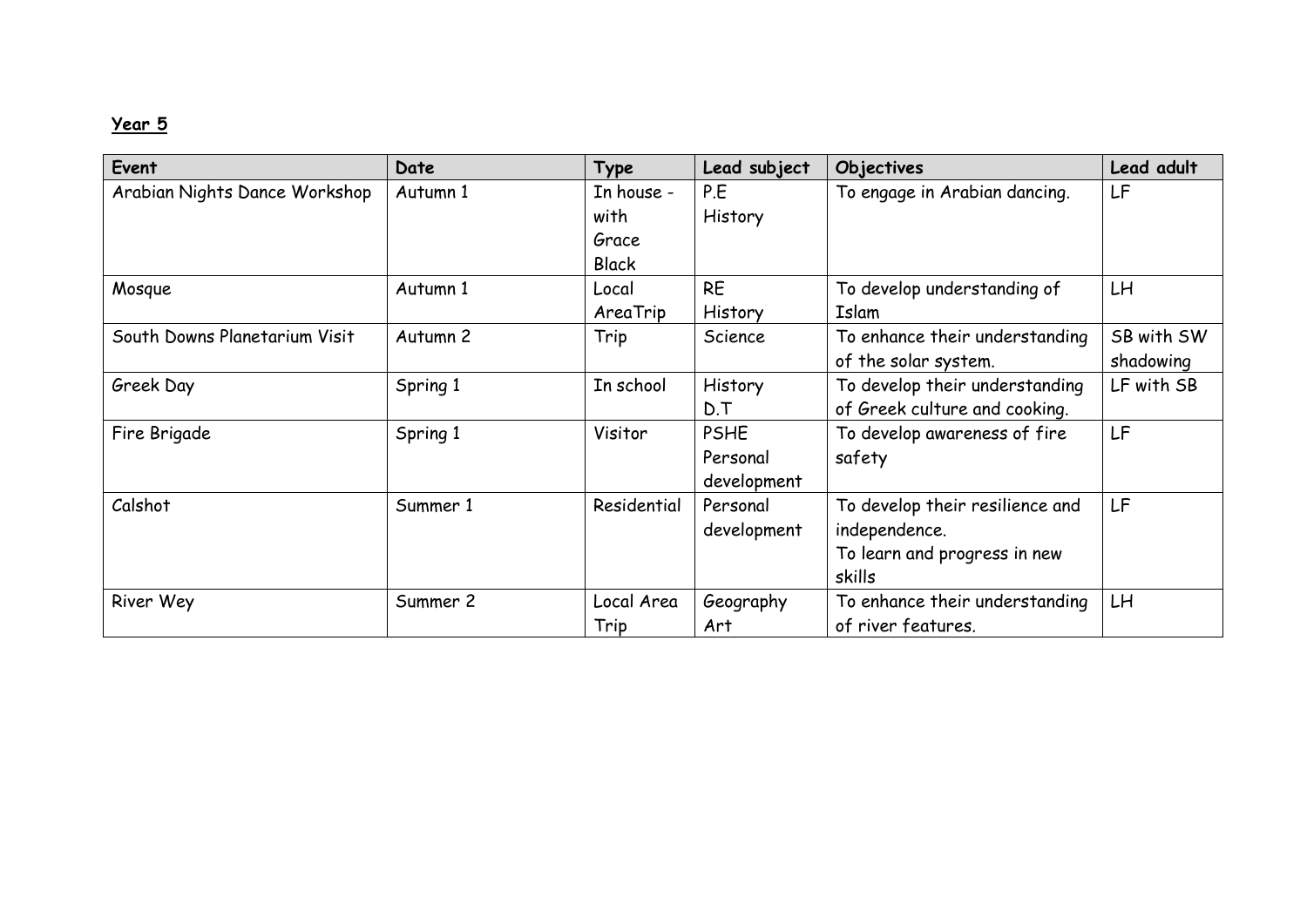# **Year 5**

| Event                         | Date     | Type         | Lead subject | Objectives                      | Lead adult |
|-------------------------------|----------|--------------|--------------|---------------------------------|------------|
| Arabian Nights Dance Workshop | Autumn 1 | In house -   | P.E          | To engage in Arabian dancing.   | LF         |
|                               |          | with         | History      |                                 |            |
|                               |          | Grace        |              |                                 |            |
|                               |          | <b>Black</b> |              |                                 |            |
| Mosque                        | Autumn 1 | Local        | <b>RE</b>    | To develop understanding of     | LH         |
|                               |          | AreaTrip     | History      | Islam                           |            |
| South Downs Planetarium Visit | Autumn 2 | Trip         | Science      | To enhance their understanding  | SB with SW |
|                               |          |              |              | of the solar system.            | shadowing  |
| Greek Day                     | Spring 1 | In school    | History      | To develop their understanding  | LF with SB |
|                               |          |              | D.T          | of Greek culture and cooking.   |            |
| Fire Brigade                  | Spring 1 | Visitor      | <b>PSHE</b>  | To develop awareness of fire    | LF         |
|                               |          |              | Personal     | safety                          |            |
|                               |          |              | development  |                                 |            |
| Calshot                       | Summer 1 | Residential  | Personal     | To develop their resilience and | LF         |
|                               |          |              | development  | independence.                   |            |
|                               |          |              |              | To learn and progress in new    |            |
|                               |          |              |              | skills                          |            |
| River Wey                     | Summer 2 | Local Area   | Geography    | To enhance their understanding  | LH         |
|                               |          | Trip         | Art          | of river features.              |            |